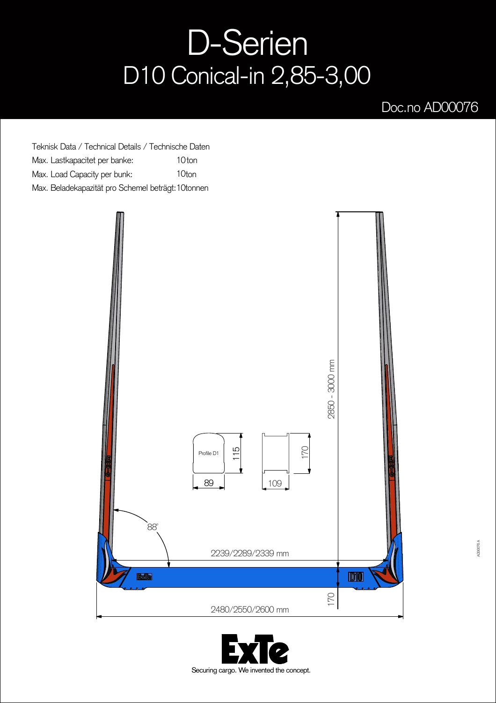## D-Serien D10 Conical-in 2,85-3,00

## Doc.no AD00076

Teknisk Data / Technical Details / Technische Daten Max. Lastkapacitet per banke: 10ton Max. Load Capacity per bunk: 10ton Max. Beladekapazität pro Schemel beträgt: 10tonnen



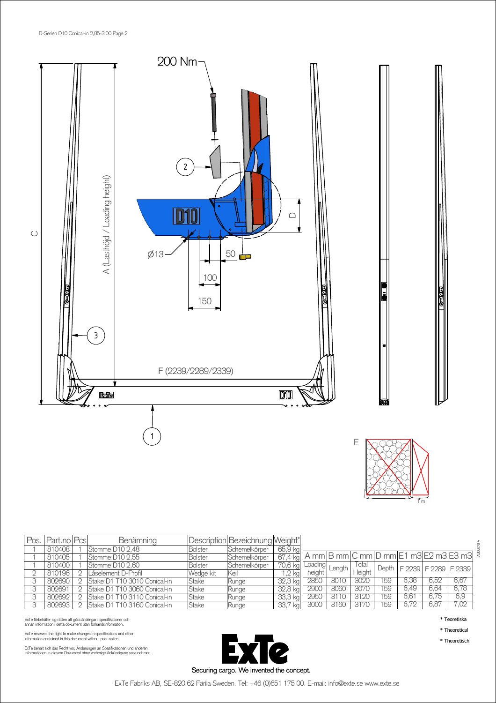



| Pos. | Part.no   Pcs | <b>Benämning</b>              |                | Description Bezeichnung Weight* |                                                                                  |                    |      |        |     |                                  |      |      |  |
|------|---------------|-------------------------------|----------------|---------------------------------|----------------------------------------------------------------------------------|--------------------|------|--------|-----|----------------------------------|------|------|--|
|      | 810408        | Stomme D10 2,48               | <b>Bolster</b> | Schemelkörper                   | 65,9 kg                                                                          |                    |      |        |     |                                  |      |      |  |
|      | 810405        | Stomme D10 2,55               | <b>Bolster</b> | Schemelkörper                   | $\frac{1}{167.4 \text{ kg}}$ A mm B mm C mm D mm E1 m3 E2 m3 E3 m3 $\frac{3}{4}$ |                    |      |        |     |                                  |      |      |  |
|      | 810400        | Stomme D10 2,60               | <b>Bolster</b> | Schemelkörper                   | 70,6 kg                                                                          | wallLoading Length |      | Iotal  |     | Depth   F 2239   F 2289   F 2339 |      |      |  |
|      | 810196        | Låselement D-Profil           | Wedge kit      | lKeil                           | $,2$ kg                                                                          | height             |      | Height |     |                                  |      |      |  |
|      | 802690        | IStake D1 T10 3010 Conical-in | <b>Stake</b>   | Runge                           | 32,3 kg                                                                          | 2850               | 3010 | 3020   | 159 | 6.38                             | 6.52 | 6.67 |  |
|      | 802691        | Stake D1 T10 3060 Conical-in  | Stake          | <b>Runge</b>                    | 32,8 kg                                                                          | 2900               | 3060 | 3070   | 159 | 6.49                             | 6.64 | 6,78 |  |
|      | 802692        | Stake D1 T10 3110 Conical-in  | <b>Stake</b>   | Runge                           | 33,3 kg                                                                          | 2950               | 3110 | 3120   | 159 | $6.6^{\circ}$                    | 6.75 | 6,9  |  |
|      | 802693        | Stake D1 T10 3160 Conical-in  | Stake          | <b>Kunge</b>                    | 33,7<br>kal                                                                      | 3000               | 3160 | 3170   | 159 | 6.72                             | 6.87 | 7,02 |  |

ExTe förbehåller sig rätten att göra ändringar i specifikationer och<br>annan information i detta dokument utan förhandsinformation.

ExTe reserves the right to make changes in specifications and other information contained in this document without prior notice.

ExTe behält sich das Recht vor, Änderungen an Spezifikationen und anderen<br>Informationen in diesem Dokument ohne vorherige Ankündigung vorzunehmen.



\* Teoretiska \* Theoretical

\* Theoretisch

ExTe Fabriks AB, SE-820 62 Färila Sweden. Tel: +46 (0)651 175 00. E-mail: info@exte.se www.exte.se